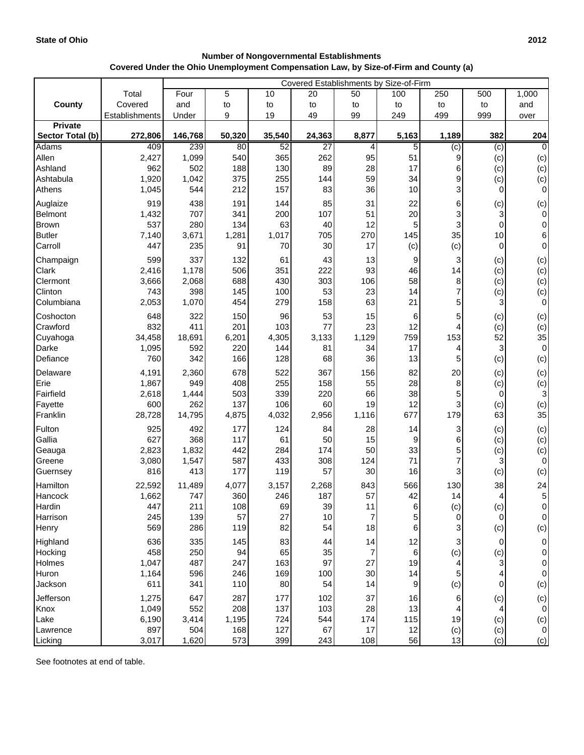## **Number of Nongovernmental Establishments Covered Under the Ohio Unemployment Compensation Law, by Size-of-Firm and County (a)**

| Total<br>Four<br>5<br>20<br>100<br>250<br>1,000<br>10<br>50<br>500<br>Covered<br>and<br>County<br>to<br>to<br>to<br>and<br>to<br>to<br>to<br>to<br>9<br>99<br>999<br>Establishments<br>Under<br>19<br>49<br>249<br>499<br>over<br><b>Private</b><br>8,877<br>382<br>Sector Total (b)<br>272,806<br>146,768<br>50,320<br>35,540<br>24,363<br>5,163<br>1,189<br>204<br>239<br>52<br>$\overline{27}$<br>Adams<br>409<br>80<br>4<br>5<br>$\overline{c}$<br>(c)<br>1,099<br>540<br>365<br>95<br>Allen<br>2,427<br>262<br>51<br>9<br>(c)<br>962<br>188<br>89<br>28<br>17<br>Ashland<br>502<br>130<br>6<br>(c)<br>375<br>255<br>59<br>34<br>9<br>Ashtabula<br>1,920<br>1,042<br>144<br>(c)<br>212<br>157<br>83<br>36<br>10<br>3<br>1,045<br>544<br>$\overline{0}$<br>Athens<br>919<br>438<br>Auglaize<br>191<br>144<br>85<br>31<br>22<br>6<br>(c)<br>20<br>707<br>200<br>107<br>51<br>3<br>Belmont<br>1,432<br>341<br>3<br>537<br>280<br>40<br>12<br>5<br>3<br>134<br>63<br>$\mathbf 0$<br><b>Brown</b><br>35<br>705<br>270<br>145<br>10<br><b>Butler</b><br>7,140<br>3,671<br>1,281<br>1,017<br>30<br>(c)<br>Carroll<br>447<br>235<br>91<br>70<br>17<br>(c)<br>$\overline{0}$<br>599<br>337<br>13<br>Champaign<br>132<br>61<br>43<br>9<br>3<br>(c)<br>93<br>506<br>351<br>46<br>14<br>Clark<br>2,416<br>1,178<br>222<br>(c)<br>688<br>430<br>303<br>106<br>58<br>3,666<br>2,068<br>8<br>(c)<br>Clermont<br>53<br>23<br>7<br>743<br>398<br>145<br>100<br>14<br>Clinton<br>(c)<br>21<br>Columbiana<br>2,053<br>1,070<br>454<br>279<br>158<br>63<br>5<br>3<br>Coshocton<br>648<br>322<br>150<br>96<br>53<br>15<br>6<br>5<br>(c)<br>23<br>832<br>411<br>201<br>77<br>12<br>Crawford<br>103<br>4<br>(c)<br>153<br>52<br>34,458<br>18,691<br>6,201<br>4,305<br>3,133<br>1,129<br>759<br>Cuyahoga<br>Darke<br>1,095<br>592<br>220<br>144<br>81<br>34<br>17<br>3<br>4<br>Defiance<br>760<br>342<br>36<br>13<br>166<br>128<br>68<br>5<br>(c)<br>678<br>522<br>367<br>82<br>20<br>4,191<br>2,360<br>156<br>Delaware<br>(c)<br>255<br>28<br>Erie<br>1,867<br>949<br>408<br>158<br>55<br>8<br>(c)<br>Fairfield<br>503<br>339<br>38<br>2,618<br>1,444<br>220<br>66<br>5<br>0<br>19<br>12<br>3<br>Fayette<br>600<br>262<br>137<br>106<br>60<br>(c)<br>677<br>179<br>Franklin<br>28,728<br>14,795<br>4,875<br>4,032<br>2,956<br>1,116<br>63<br>Fulton<br>925<br>492<br>124<br>84<br>28<br>3<br>177<br>14<br>(c)<br>Gallia<br>627<br>368<br>117<br>50<br>61<br>15<br>9<br>6<br>(c)<br>442<br>50<br>33<br>2,823<br>1,832<br>284<br>174<br>Geauga<br>(c)<br>587<br>433<br>71<br>3,080<br>1,547<br>308<br>124<br>Greene<br>816<br>413<br>177<br>119<br>57<br>30<br>16<br>3<br>Guernsey<br>(c)<br>Hamilton<br>22,592<br>11,489<br>4,077<br>3,157<br>2,268<br>843<br>566<br>130<br>38 |         |       | Covered Establishments by Size-of-Firm |     |     |     |    |    |    |   |          |
|------------------------------------------------------------------------------------------------------------------------------------------------------------------------------------------------------------------------------------------------------------------------------------------------------------------------------------------------------------------------------------------------------------------------------------------------------------------------------------------------------------------------------------------------------------------------------------------------------------------------------------------------------------------------------------------------------------------------------------------------------------------------------------------------------------------------------------------------------------------------------------------------------------------------------------------------------------------------------------------------------------------------------------------------------------------------------------------------------------------------------------------------------------------------------------------------------------------------------------------------------------------------------------------------------------------------------------------------------------------------------------------------------------------------------------------------------------------------------------------------------------------------------------------------------------------------------------------------------------------------------------------------------------------------------------------------------------------------------------------------------------------------------------------------------------------------------------------------------------------------------------------------------------------------------------------------------------------------------------------------------------------------------------------------------------------------------------------------------------------------------------------------------------------------------------------------------------------------------------------------------------------------------------------------------------------------------------------------------------------------------------------------------------------------------------------------------------------------------------------------------------------------------------------------------------------------------------------------------------------------------------------------------------------------------------------------------------------------------------------------------------|---------|-------|----------------------------------------|-----|-----|-----|----|----|----|---|----------|
|                                                                                                                                                                                                                                                                                                                                                                                                                                                                                                                                                                                                                                                                                                                                                                                                                                                                                                                                                                                                                                                                                                                                                                                                                                                                                                                                                                                                                                                                                                                                                                                                                                                                                                                                                                                                                                                                                                                                                                                                                                                                                                                                                                                                                                                                                                                                                                                                                                                                                                                                                                                                                                                                                                                                                            |         |       |                                        |     |     |     |    |    |    |   |          |
| $\overline{0}$                                                                                                                                                                                                                                                                                                                                                                                                                                                                                                                                                                                                                                                                                                                                                                                                                                                                                                                                                                                                                                                                                                                                                                                                                                                                                                                                                                                                                                                                                                                                                                                                                                                                                                                                                                                                                                                                                                                                                                                                                                                                                                                                                                                                                                                                                                                                                                                                                                                                                                                                                                                                                                                                                                                                             |         |       |                                        |     |     |     |    |    |    |   |          |
|                                                                                                                                                                                                                                                                                                                                                                                                                                                                                                                                                                                                                                                                                                                                                                                                                                                                                                                                                                                                                                                                                                                                                                                                                                                                                                                                                                                                                                                                                                                                                                                                                                                                                                                                                                                                                                                                                                                                                                                                                                                                                                                                                                                                                                                                                                                                                                                                                                                                                                                                                                                                                                                                                                                                                            |         |       |                                        |     |     |     |    |    |    |   |          |
|                                                                                                                                                                                                                                                                                                                                                                                                                                                                                                                                                                                                                                                                                                                                                                                                                                                                                                                                                                                                                                                                                                                                                                                                                                                                                                                                                                                                                                                                                                                                                                                                                                                                                                                                                                                                                                                                                                                                                                                                                                                                                                                                                                                                                                                                                                                                                                                                                                                                                                                                                                                                                                                                                                                                                            |         |       |                                        |     |     |     |    |    |    |   |          |
| (c)<br>(c)<br>(c)<br>$\overline{0}$<br>(c)<br>$\overline{0}$<br>$\overline{0}$<br>$6 \overline{6}$<br>$\overline{0}$<br>(c)<br>(c)<br>(c)                                                                                                                                                                                                                                                                                                                                                                                                                                                                                                                                                                                                                                                                                                                                                                                                                                                                                                                                                                                                                                                                                                                                                                                                                                                                                                                                                                                                                                                                                                                                                                                                                                                                                                                                                                                                                                                                                                                                                                                                                                                                                                                                                                                                                                                                                                                                                                                                                                                                                                                                                                                                                  |         |       |                                        |     |     |     |    |    |    |   |          |
|                                                                                                                                                                                                                                                                                                                                                                                                                                                                                                                                                                                                                                                                                                                                                                                                                                                                                                                                                                                                                                                                                                                                                                                                                                                                                                                                                                                                                                                                                                                                                                                                                                                                                                                                                                                                                                                                                                                                                                                                                                                                                                                                                                                                                                                                                                                                                                                                                                                                                                                                                                                                                                                                                                                                                            |         |       |                                        |     |     |     |    |    |    |   |          |
|                                                                                                                                                                                                                                                                                                                                                                                                                                                                                                                                                                                                                                                                                                                                                                                                                                                                                                                                                                                                                                                                                                                                                                                                                                                                                                                                                                                                                                                                                                                                                                                                                                                                                                                                                                                                                                                                                                                                                                                                                                                                                                                                                                                                                                                                                                                                                                                                                                                                                                                                                                                                                                                                                                                                                            |         |       |                                        |     |     |     |    |    |    |   |          |
|                                                                                                                                                                                                                                                                                                                                                                                                                                                                                                                                                                                                                                                                                                                                                                                                                                                                                                                                                                                                                                                                                                                                                                                                                                                                                                                                                                                                                                                                                                                                                                                                                                                                                                                                                                                                                                                                                                                                                                                                                                                                                                                                                                                                                                                                                                                                                                                                                                                                                                                                                                                                                                                                                                                                                            |         |       |                                        |     |     |     |    |    |    |   |          |
|                                                                                                                                                                                                                                                                                                                                                                                                                                                                                                                                                                                                                                                                                                                                                                                                                                                                                                                                                                                                                                                                                                                                                                                                                                                                                                                                                                                                                                                                                                                                                                                                                                                                                                                                                                                                                                                                                                                                                                                                                                                                                                                                                                                                                                                                                                                                                                                                                                                                                                                                                                                                                                                                                                                                                            |         |       |                                        |     |     |     |    |    |    |   |          |
|                                                                                                                                                                                                                                                                                                                                                                                                                                                                                                                                                                                                                                                                                                                                                                                                                                                                                                                                                                                                                                                                                                                                                                                                                                                                                                                                                                                                                                                                                                                                                                                                                                                                                                                                                                                                                                                                                                                                                                                                                                                                                                                                                                                                                                                                                                                                                                                                                                                                                                                                                                                                                                                                                                                                                            |         |       |                                        |     |     |     |    |    |    |   |          |
|                                                                                                                                                                                                                                                                                                                                                                                                                                                                                                                                                                                                                                                                                                                                                                                                                                                                                                                                                                                                                                                                                                                                                                                                                                                                                                                                                                                                                                                                                                                                                                                                                                                                                                                                                                                                                                                                                                                                                                                                                                                                                                                                                                                                                                                                                                                                                                                                                                                                                                                                                                                                                                                                                                                                                            |         |       |                                        |     |     |     |    |    |    |   |          |
|                                                                                                                                                                                                                                                                                                                                                                                                                                                                                                                                                                                                                                                                                                                                                                                                                                                                                                                                                                                                                                                                                                                                                                                                                                                                                                                                                                                                                                                                                                                                                                                                                                                                                                                                                                                                                                                                                                                                                                                                                                                                                                                                                                                                                                                                                                                                                                                                                                                                                                                                                                                                                                                                                                                                                            |         |       |                                        |     |     |     |    |    |    |   |          |
|                                                                                                                                                                                                                                                                                                                                                                                                                                                                                                                                                                                                                                                                                                                                                                                                                                                                                                                                                                                                                                                                                                                                                                                                                                                                                                                                                                                                                                                                                                                                                                                                                                                                                                                                                                                                                                                                                                                                                                                                                                                                                                                                                                                                                                                                                                                                                                                                                                                                                                                                                                                                                                                                                                                                                            |         |       |                                        |     |     |     |    |    |    |   |          |
|                                                                                                                                                                                                                                                                                                                                                                                                                                                                                                                                                                                                                                                                                                                                                                                                                                                                                                                                                                                                                                                                                                                                                                                                                                                                                                                                                                                                                                                                                                                                                                                                                                                                                                                                                                                                                                                                                                                                                                                                                                                                                                                                                                                                                                                                                                                                                                                                                                                                                                                                                                                                                                                                                                                                                            |         |       |                                        |     |     |     |    |    |    |   |          |
|                                                                                                                                                                                                                                                                                                                                                                                                                                                                                                                                                                                                                                                                                                                                                                                                                                                                                                                                                                                                                                                                                                                                                                                                                                                                                                                                                                                                                                                                                                                                                                                                                                                                                                                                                                                                                                                                                                                                                                                                                                                                                                                                                                                                                                                                                                                                                                                                                                                                                                                                                                                                                                                                                                                                                            |         |       |                                        |     |     |     |    |    |    |   |          |
|                                                                                                                                                                                                                                                                                                                                                                                                                                                                                                                                                                                                                                                                                                                                                                                                                                                                                                                                                                                                                                                                                                                                                                                                                                                                                                                                                                                                                                                                                                                                                                                                                                                                                                                                                                                                                                                                                                                                                                                                                                                                                                                                                                                                                                                                                                                                                                                                                                                                                                                                                                                                                                                                                                                                                            |         |       |                                        |     |     |     |    |    |    |   |          |
| (c)<br>$\overline{O}$<br>(c)<br>(c)<br>35<br>$\overline{O}$<br>(c)<br>(c)<br>(c)<br>3<br>(c)<br>35<br>(c)<br>(c)<br>(c)<br>$\overline{0}$<br>(c)<br>24                                                                                                                                                                                                                                                                                                                                                                                                                                                                                                                                                                                                                                                                                                                                                                                                                                                                                                                                                                                                                                                                                                                                                                                                                                                                                                                                                                                                                                                                                                                                                                                                                                                                                                                                                                                                                                                                                                                                                                                                                                                                                                                                                                                                                                                                                                                                                                                                                                                                                                                                                                                                     |         |       |                                        |     |     |     |    |    |    |   |          |
|                                                                                                                                                                                                                                                                                                                                                                                                                                                                                                                                                                                                                                                                                                                                                                                                                                                                                                                                                                                                                                                                                                                                                                                                                                                                                                                                                                                                                                                                                                                                                                                                                                                                                                                                                                                                                                                                                                                                                                                                                                                                                                                                                                                                                                                                                                                                                                                                                                                                                                                                                                                                                                                                                                                                                            |         |       |                                        |     |     |     |    |    |    |   |          |
|                                                                                                                                                                                                                                                                                                                                                                                                                                                                                                                                                                                                                                                                                                                                                                                                                                                                                                                                                                                                                                                                                                                                                                                                                                                                                                                                                                                                                                                                                                                                                                                                                                                                                                                                                                                                                                                                                                                                                                                                                                                                                                                                                                                                                                                                                                                                                                                                                                                                                                                                                                                                                                                                                                                                                            |         |       |                                        |     |     |     |    |    |    |   |          |
|                                                                                                                                                                                                                                                                                                                                                                                                                                                                                                                                                                                                                                                                                                                                                                                                                                                                                                                                                                                                                                                                                                                                                                                                                                                                                                                                                                                                                                                                                                                                                                                                                                                                                                                                                                                                                                                                                                                                                                                                                                                                                                                                                                                                                                                                                                                                                                                                                                                                                                                                                                                                                                                                                                                                                            |         |       |                                        |     |     |     |    |    |    |   |          |
|                                                                                                                                                                                                                                                                                                                                                                                                                                                                                                                                                                                                                                                                                                                                                                                                                                                                                                                                                                                                                                                                                                                                                                                                                                                                                                                                                                                                                                                                                                                                                                                                                                                                                                                                                                                                                                                                                                                                                                                                                                                                                                                                                                                                                                                                                                                                                                                                                                                                                                                                                                                                                                                                                                                                                            |         |       |                                        |     |     |     |    |    |    |   |          |
|                                                                                                                                                                                                                                                                                                                                                                                                                                                                                                                                                                                                                                                                                                                                                                                                                                                                                                                                                                                                                                                                                                                                                                                                                                                                                                                                                                                                                                                                                                                                                                                                                                                                                                                                                                                                                                                                                                                                                                                                                                                                                                                                                                                                                                                                                                                                                                                                                                                                                                                                                                                                                                                                                                                                                            |         |       |                                        |     |     |     |    |    |    |   |          |
|                                                                                                                                                                                                                                                                                                                                                                                                                                                                                                                                                                                                                                                                                                                                                                                                                                                                                                                                                                                                                                                                                                                                                                                                                                                                                                                                                                                                                                                                                                                                                                                                                                                                                                                                                                                                                                                                                                                                                                                                                                                                                                                                                                                                                                                                                                                                                                                                                                                                                                                                                                                                                                                                                                                                                            |         |       |                                        |     |     |     |    |    |    |   |          |
|                                                                                                                                                                                                                                                                                                                                                                                                                                                                                                                                                                                                                                                                                                                                                                                                                                                                                                                                                                                                                                                                                                                                                                                                                                                                                                                                                                                                                                                                                                                                                                                                                                                                                                                                                                                                                                                                                                                                                                                                                                                                                                                                                                                                                                                                                                                                                                                                                                                                                                                                                                                                                                                                                                                                                            |         |       |                                        |     |     |     |    |    |    |   |          |
|                                                                                                                                                                                                                                                                                                                                                                                                                                                                                                                                                                                                                                                                                                                                                                                                                                                                                                                                                                                                                                                                                                                                                                                                                                                                                                                                                                                                                                                                                                                                                                                                                                                                                                                                                                                                                                                                                                                                                                                                                                                                                                                                                                                                                                                                                                                                                                                                                                                                                                                                                                                                                                                                                                                                                            |         |       |                                        |     |     |     |    |    |    |   |          |
|                                                                                                                                                                                                                                                                                                                                                                                                                                                                                                                                                                                                                                                                                                                                                                                                                                                                                                                                                                                                                                                                                                                                                                                                                                                                                                                                                                                                                                                                                                                                                                                                                                                                                                                                                                                                                                                                                                                                                                                                                                                                                                                                                                                                                                                                                                                                                                                                                                                                                                                                                                                                                                                                                                                                                            |         |       |                                        |     |     |     |    |    |    |   |          |
|                                                                                                                                                                                                                                                                                                                                                                                                                                                                                                                                                                                                                                                                                                                                                                                                                                                                                                                                                                                                                                                                                                                                                                                                                                                                                                                                                                                                                                                                                                                                                                                                                                                                                                                                                                                                                                                                                                                                                                                                                                                                                                                                                                                                                                                                                                                                                                                                                                                                                                                                                                                                                                                                                                                                                            |         |       |                                        |     |     |     |    |    |    |   |          |
|                                                                                                                                                                                                                                                                                                                                                                                                                                                                                                                                                                                                                                                                                                                                                                                                                                                                                                                                                                                                                                                                                                                                                                                                                                                                                                                                                                                                                                                                                                                                                                                                                                                                                                                                                                                                                                                                                                                                                                                                                                                                                                                                                                                                                                                                                                                                                                                                                                                                                                                                                                                                                                                                                                                                                            |         |       |                                        |     |     |     |    |    |    |   |          |
|                                                                                                                                                                                                                                                                                                                                                                                                                                                                                                                                                                                                                                                                                                                                                                                                                                                                                                                                                                                                                                                                                                                                                                                                                                                                                                                                                                                                                                                                                                                                                                                                                                                                                                                                                                                                                                                                                                                                                                                                                                                                                                                                                                                                                                                                                                                                                                                                                                                                                                                                                                                                                                                                                                                                                            |         |       |                                        |     |     |     |    |    |    |   |          |
|                                                                                                                                                                                                                                                                                                                                                                                                                                                                                                                                                                                                                                                                                                                                                                                                                                                                                                                                                                                                                                                                                                                                                                                                                                                                                                                                                                                                                                                                                                                                                                                                                                                                                                                                                                                                                                                                                                                                                                                                                                                                                                                                                                                                                                                                                                                                                                                                                                                                                                                                                                                                                                                                                                                                                            |         |       |                                        |     |     |     |    |    |    |   |          |
|                                                                                                                                                                                                                                                                                                                                                                                                                                                                                                                                                                                                                                                                                                                                                                                                                                                                                                                                                                                                                                                                                                                                                                                                                                                                                                                                                                                                                                                                                                                                                                                                                                                                                                                                                                                                                                                                                                                                                                                                                                                                                                                                                                                                                                                                                                                                                                                                                                                                                                                                                                                                                                                                                                                                                            |         |       |                                        |     |     |     |    |    |    |   |          |
|                                                                                                                                                                                                                                                                                                                                                                                                                                                                                                                                                                                                                                                                                                                                                                                                                                                                                                                                                                                                                                                                                                                                                                                                                                                                                                                                                                                                                                                                                                                                                                                                                                                                                                                                                                                                                                                                                                                                                                                                                                                                                                                                                                                                                                                                                                                                                                                                                                                                                                                                                                                                                                                                                                                                                            |         |       |                                        |     |     |     |    |    |    |   |          |
|                                                                                                                                                                                                                                                                                                                                                                                                                                                                                                                                                                                                                                                                                                                                                                                                                                                                                                                                                                                                                                                                                                                                                                                                                                                                                                                                                                                                                                                                                                                                                                                                                                                                                                                                                                                                                                                                                                                                                                                                                                                                                                                                                                                                                                                                                                                                                                                                                                                                                                                                                                                                                                                                                                                                                            |         |       |                                        |     |     |     |    |    |    |   |          |
|                                                                                                                                                                                                                                                                                                                                                                                                                                                                                                                                                                                                                                                                                                                                                                                                                                                                                                                                                                                                                                                                                                                                                                                                                                                                                                                                                                                                                                                                                                                                                                                                                                                                                                                                                                                                                                                                                                                                                                                                                                                                                                                                                                                                                                                                                                                                                                                                                                                                                                                                                                                                                                                                                                                                                            |         |       |                                        |     |     |     |    |    |    |   |          |
|                                                                                                                                                                                                                                                                                                                                                                                                                                                                                                                                                                                                                                                                                                                                                                                                                                                                                                                                                                                                                                                                                                                                                                                                                                                                                                                                                                                                                                                                                                                                                                                                                                                                                                                                                                                                                                                                                                                                                                                                                                                                                                                                                                                                                                                                                                                                                                                                                                                                                                                                                                                                                                                                                                                                                            |         |       |                                        |     |     |     |    |    |    |   |          |
|                                                                                                                                                                                                                                                                                                                                                                                                                                                                                                                                                                                                                                                                                                                                                                                                                                                                                                                                                                                                                                                                                                                                                                                                                                                                                                                                                                                                                                                                                                                                                                                                                                                                                                                                                                                                                                                                                                                                                                                                                                                                                                                                                                                                                                                                                                                                                                                                                                                                                                                                                                                                                                                                                                                                                            | Hancock | 1,662 | 747                                    | 360 | 246 | 187 | 57 | 42 | 14 | 4 | $5\vert$ |
| Hardin<br>447<br>211<br>108<br>69<br>39<br>11<br>$6 \mid$<br>(c)<br>(c)<br>$\overline{0}$                                                                                                                                                                                                                                                                                                                                                                                                                                                                                                                                                                                                                                                                                                                                                                                                                                                                                                                                                                                                                                                                                                                                                                                                                                                                                                                                                                                                                                                                                                                                                                                                                                                                                                                                                                                                                                                                                                                                                                                                                                                                                                                                                                                                                                                                                                                                                                                                                                                                                                                                                                                                                                                                  |         |       |                                        |     |     |     |    |    |    |   |          |
| 57<br>$\overline{0}$<br>27<br>10<br>$\overline{7}$<br>5<br>245<br>139<br>Harrison<br>0<br>$\Omega$                                                                                                                                                                                                                                                                                                                                                                                                                                                                                                                                                                                                                                                                                                                                                                                                                                                                                                                                                                                                                                                                                                                                                                                                                                                                                                                                                                                                                                                                                                                                                                                                                                                                                                                                                                                                                                                                                                                                                                                                                                                                                                                                                                                                                                                                                                                                                                                                                                                                                                                                                                                                                                                         |         |       |                                        |     |     |     |    |    |    |   |          |
| 569<br>286<br>119<br>54<br>18<br>6<br>(c)<br>82<br>(c)<br>Henry                                                                                                                                                                                                                                                                                                                                                                                                                                                                                                                                                                                                                                                                                                                                                                                                                                                                                                                                                                                                                                                                                                                                                                                                                                                                                                                                                                                                                                                                                                                                                                                                                                                                                                                                                                                                                                                                                                                                                                                                                                                                                                                                                                                                                                                                                                                                                                                                                                                                                                                                                                                                                                                                                            |         |       |                                        |     |     |     |    |    |    |   |          |
| 636<br>335<br>14<br>$\overline{0}$<br>Highland<br>145<br>83<br>44<br>12<br>$\overline{0}$<br>3                                                                                                                                                                                                                                                                                                                                                                                                                                                                                                                                                                                                                                                                                                                                                                                                                                                                                                                                                                                                                                                                                                                                                                                                                                                                                                                                                                                                                                                                                                                                                                                                                                                                                                                                                                                                                                                                                                                                                                                                                                                                                                                                                                                                                                                                                                                                                                                                                                                                                                                                                                                                                                                             |         |       |                                        |     |     |     |    |    |    |   |          |
| 458<br>250<br>94<br>65<br>35<br>6<br>(c)<br>$\overline{0}$<br>Hocking<br>7<br>(c)                                                                                                                                                                                                                                                                                                                                                                                                                                                                                                                                                                                                                                                                                                                                                                                                                                                                                                                                                                                                                                                                                                                                                                                                                                                                                                                                                                                                                                                                                                                                                                                                                                                                                                                                                                                                                                                                                                                                                                                                                                                                                                                                                                                                                                                                                                                                                                                                                                                                                                                                                                                                                                                                          |         |       |                                        |     |     |     |    |    |    |   |          |
| 247<br>27<br>487<br>97<br>19<br>$\overline{0}$<br>Holmes<br>1,047<br>163<br>3                                                                                                                                                                                                                                                                                                                                                                                                                                                                                                                                                                                                                                                                                                                                                                                                                                                                                                                                                                                                                                                                                                                                                                                                                                                                                                                                                                                                                                                                                                                                                                                                                                                                                                                                                                                                                                                                                                                                                                                                                                                                                                                                                                                                                                                                                                                                                                                                                                                                                                                                                                                                                                                                              |         |       |                                        |     |     |     |    |    |    |   |          |
| $\overline{0}$<br>1,164<br>169<br>30<br>14<br>596<br>246<br>100<br>Huron                                                                                                                                                                                                                                                                                                                                                                                                                                                                                                                                                                                                                                                                                                                                                                                                                                                                                                                                                                                                                                                                                                                                                                                                                                                                                                                                                                                                                                                                                                                                                                                                                                                                                                                                                                                                                                                                                                                                                                                                                                                                                                                                                                                                                                                                                                                                                                                                                                                                                                                                                                                                                                                                                   |         |       |                                        |     |     |     |    |    |    |   |          |
| 611<br>110<br>80<br>54<br>14<br>9<br>(c)<br>(c)<br>341<br>Jackson<br>$\overline{0}$                                                                                                                                                                                                                                                                                                                                                                                                                                                                                                                                                                                                                                                                                                                                                                                                                                                                                                                                                                                                                                                                                                                                                                                                                                                                                                                                                                                                                                                                                                                                                                                                                                                                                                                                                                                                                                                                                                                                                                                                                                                                                                                                                                                                                                                                                                                                                                                                                                                                                                                                                                                                                                                                        |         |       |                                        |     |     |     |    |    |    |   |          |
| 647<br>287<br>Jefferson<br>1,275<br>177<br>102<br>37<br>16<br>(c)<br>(c)                                                                                                                                                                                                                                                                                                                                                                                                                                                                                                                                                                                                                                                                                                                                                                                                                                                                                                                                                                                                                                                                                                                                                                                                                                                                                                                                                                                                                                                                                                                                                                                                                                                                                                                                                                                                                                                                                                                                                                                                                                                                                                                                                                                                                                                                                                                                                                                                                                                                                                                                                                                                                                                                                   |         |       |                                        |     |     |     |    |    |    |   |          |
| 552<br>208<br>137<br>103<br>28<br>13<br>1,049<br>$\overline{0}$<br>Knox                                                                                                                                                                                                                                                                                                                                                                                                                                                                                                                                                                                                                                                                                                                                                                                                                                                                                                                                                                                                                                                                                                                                                                                                                                                                                                                                                                                                                                                                                                                                                                                                                                                                                                                                                                                                                                                                                                                                                                                                                                                                                                                                                                                                                                                                                                                                                                                                                                                                                                                                                                                                                                                                                    |         |       |                                        |     |     |     |    |    |    |   |          |
| 6,190<br>1,195<br>19<br>(c)<br>724<br>544<br>174<br>115<br>(c)<br>Lake<br>3,414<br>$\overline{0}$                                                                                                                                                                                                                                                                                                                                                                                                                                                                                                                                                                                                                                                                                                                                                                                                                                                                                                                                                                                                                                                                                                                                                                                                                                                                                                                                                                                                                                                                                                                                                                                                                                                                                                                                                                                                                                                                                                                                                                                                                                                                                                                                                                                                                                                                                                                                                                                                                                                                                                                                                                                                                                                          |         |       |                                        |     |     |     |    |    |    |   |          |
| 897<br>168<br>127<br>67<br>17<br>12<br>(c)<br>504<br>(c)<br>Lawrence<br>13<br>1,620<br>573<br>399<br>108<br>56<br>(c)<br>Licking<br>3,017<br>243<br>(c)                                                                                                                                                                                                                                                                                                                                                                                                                                                                                                                                                                                                                                                                                                                                                                                                                                                                                                                                                                                                                                                                                                                                                                                                                                                                                                                                                                                                                                                                                                                                                                                                                                                                                                                                                                                                                                                                                                                                                                                                                                                                                                                                                                                                                                                                                                                                                                                                                                                                                                                                                                                                    |         |       |                                        |     |     |     |    |    |    |   |          |

See footnotes at end of table.